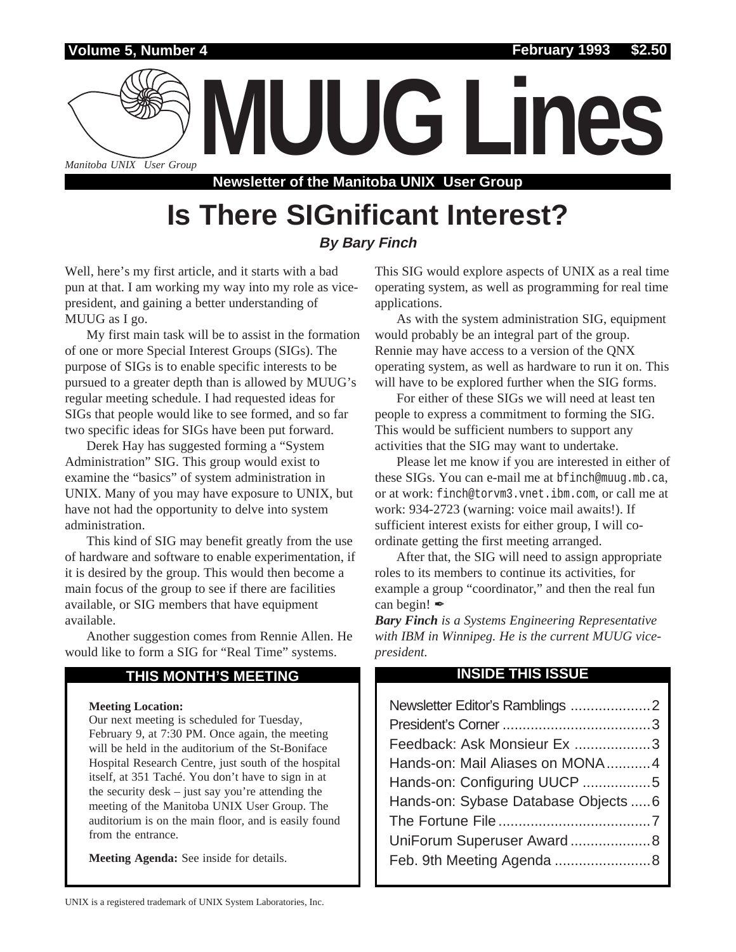

**Volume 5, Number 4 February 1993 \$2.50**



**Newsletter of the Manitoba UNIX User Group**

# **Is There SIGnificant Interest? By Bary Finch**

Well, here's my first article, and it starts with a bad pun at that. I am working my way into my role as vicepresident, and gaining a better understanding of MUUG as I go.

My first main task will be to assist in the formation of one or more Special Interest Groups (SIGs). The purpose of SIGs is to enable specific interests to be pursued to a greater depth than is allowed by MUUG's regular meeting schedule. I had requested ideas for SIGs that people would like to see formed, and so far two specific ideas for SIGs have been put forward.

Derek Hay has suggested forming a "System Administration" SIG. This group would exist to examine the "basics" of system administration in UNIX. Many of you may have exposure to UNIX, but have not had the opportunity to delve into system administration.

This kind of SIG may benefit greatly from the use of hardware and software to enable experimentation, if it is desired by the group. This would then become a main focus of the group to see if there are facilities available, or SIG members that have equipment available.

Another suggestion comes from Rennie Allen. He would like to form a SIG for "Real Time" systems.

# **THIS MONTH'S MEETING INSIDE THIS ISSUE**

### **Meeting Location:**

Our next meeting is scheduled for Tuesday, February 9, at 7:30 PM. Once again, the meeting will be held in the auditorium of the St-Boniface Hospital Research Centre, just south of the hospital itself, at 351 Taché. You don't have to sign in at the security desk – just say you're attending the meeting of the Manitoba UNIX User Group. The auditorium is on the main floor, and is easily found from the entrance.

**Meeting Agenda:** See inside for details.

This SIG would explore aspects of UNIX as a real time operating system, as well as programming for real time applications.

As with the system administration SIG, equipment would probably be an integral part of the group. Rennie may have access to a version of the QNX operating system, as well as hardware to run it on. This will have to be explored further when the SIG forms.

For either of these SIGs we will need at least ten people to express a commitment to forming the SIG. This would be sufficient numbers to support any activities that the SIG may want to undertake.

Please let me know if you are interested in either of these SIGs. You can e-mail me at bfinch@muug.mb.ca, or at work: finch@torvm3.vnet.ibm.com, or call me at work: 934-2723 (warning: voice mail awaits!). If sufficient interest exists for either group, I will coordinate getting the first meeting arranged.

After that, the SIG will need to assign appropriate roles to its members to continue its activities, for example a group "coordinator," and then the real fun can begin!  $\mathscr{I}$ 

*Bary Finch is a Systems Engineering Representative with IBM in Winnipeg. He is the current MUUG vicepresident.*

| Feedback: Ask Monsieur Ex 3          |
|--------------------------------------|
| Hands-on: Mail Aliases on MONA4      |
| Hands-on: Configuring UUCP 5         |
| Hands-on: Sybase Database Objects  6 |
|                                      |
| UniForum Superuser Award 8           |
|                                      |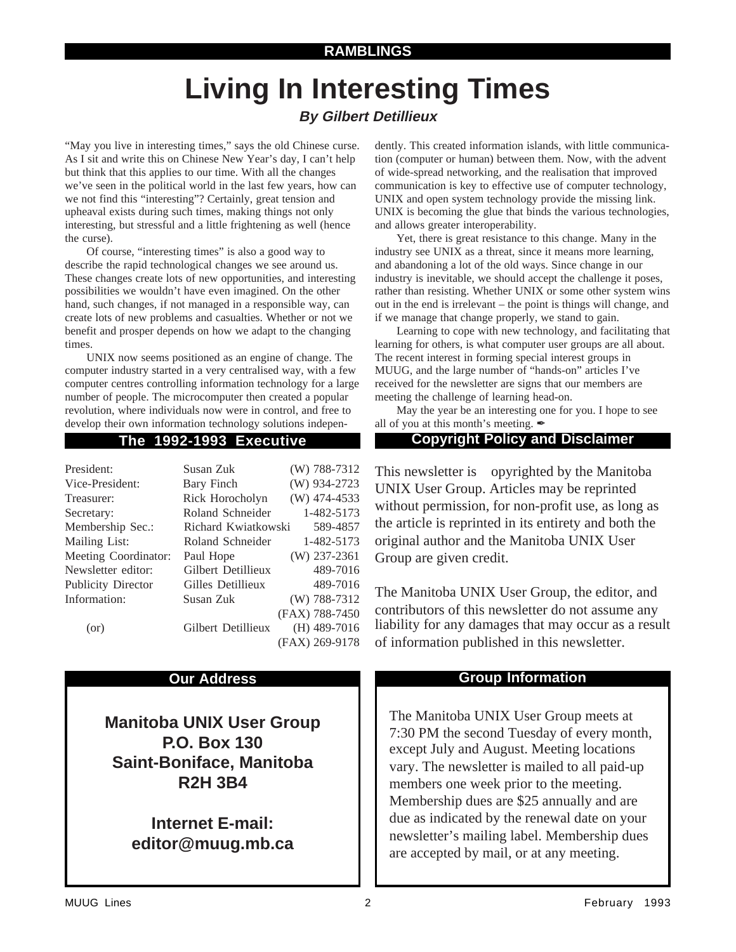## **RAMBLINGS**

# **Living In Interesting Times**

# **By Gilbert Detillieux**

"May you live in interesting times," says the old Chinese curse. As I sit and write this on Chinese New Year's day, I can't help but think that this applies to our time. With all the changes we've seen in the political world in the last few years, how can we not find this "interesting"? Certainly, great tension and upheaval exists during such times, making things not only interesting, but stressful and a little frightening as well (hence the curse).

Of course, "interesting times" is also a good way to describe the rapid technological changes we see around us. These changes create lots of new opportunities, and interesting possibilities we wouldn't have even imagined. On the other hand, such changes, if not managed in a responsible way, can create lots of new problems and casualties. Whether or not we benefit and prosper depends on how we adapt to the changing times.

UNIX now seems positioned as an engine of change. The computer industry started in a very centralised way, with a few computer centres controlling information technology for a large number of people. The microcomputer then created a popular revolution, where individuals now were in control, and free to develop their own information technology solutions indepen-

| President:                | Susan Zuk           | $(W)$ 788-7312 |
|---------------------------|---------------------|----------------|
| Vice-President:           | Bary Finch          | (W) 934-2723   |
| Treasurer:                | Rick Horocholyn     | $(W)$ 474-4533 |
| Secretary:                | Roland Schneider    | 1-482-5173     |
| Membership Sec.:          | Richard Kwiatkowski | 589-4857       |
| Mailing List:             | Roland Schneider    | 1-482-5173     |
| Meeting Coordinator:      | Paul Hope           | $(W)$ 237-2361 |
| Newsletter editor:        | Gilbert Detillieux  | 489-7016       |
| <b>Publicity Director</b> | Gilles Detillieux   | 489-7016       |
| Information:              | Susan Zuk           | (W) 788-7312   |
|                           |                     | (FAX) 788-7450 |
| (or)                      | Gilbert Detillieux  | $(H)$ 489-7016 |
|                           |                     | (FAX) 269-9178 |

**Manitoba UNIX User Group P.O. Box 130 Saint-Boniface, Manitoba R2H 3B4**

> **Internet E-mail: editor@muug.mb.ca**

dently. This created information islands, with little communication (computer or human) between them. Now, with the advent of wide-spread networking, and the realisation that improved communication is key to effective use of computer technology, UNIX and open system technology provide the missing link. UNIX is becoming the glue that binds the various technologies, and allows greater interoperability.

Yet, there is great resistance to this change. Many in the industry see UNIX as a threat, since it means more learning, and abandoning a lot of the old ways. Since change in our industry is inevitable, we should accept the challenge it poses, rather than resisting. Whether UNIX or some other system wins out in the end is irrelevant – the point is things will change, and if we manage that change properly, we stand to gain.

Learning to cope with new technology, and facilitating that learning for others, is what computer user groups are all about. The recent interest in forming special interest groups in MUUG, and the large number of "hands-on" articles I've received for the newsletter are signs that our members are meeting the challenge of learning head-on.

May the year be an interesting one for you. I hope to see all of you at this month's meeting.  $\blacktriangle$ 

### **The 1992-1993 Executive Copyright Policy and Disclaimer**

This newsletter is Copyrighted by the Manitoba UNIX User Group. Articles may be reprinted without permission, for non-profit use, as long as the article is reprinted in its entirety and both the original author and the Manitoba UNIX User Group are given credit.

The Manitoba UNIX User Group, the editor, and contributors of this newsletter do not assume any liability for any damages that may occur as a result of information published in this newsletter.

### **Our Address Community Community Community Community Community Community Community Community Community Community Community Community Community Community Community Community Community Community Community Community Community**

The Manitoba UNIX User Group meets at 7:30 PM the second Tuesday of every month, except July and August. Meeting locations vary. The newsletter is mailed to all paid-up members one week prior to the meeting. Membership dues are \$25 annually and are due as indicated by the renewal date on your newsletter's mailing label. Membership dues are accepted by mail, or at any meeting.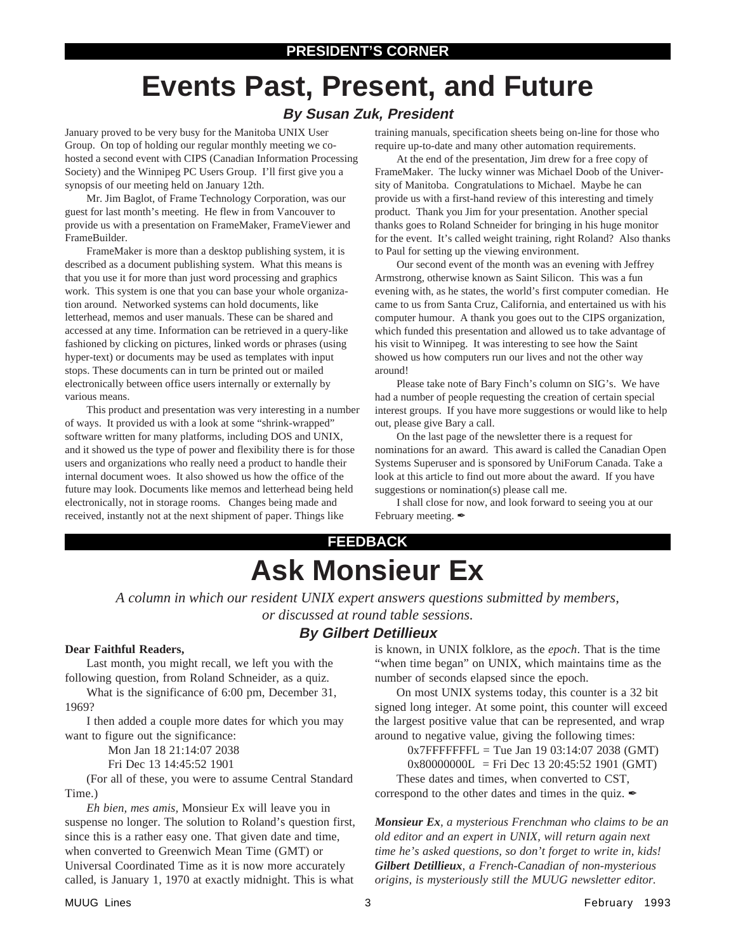# **Events Past, Present, and Future**

# **By Susan Zuk, President**

January proved to be very busy for the Manitoba UNIX User Group. On top of holding our regular monthly meeting we cohosted a second event with CIPS (Canadian Information Processing Society) and the Winnipeg PC Users Group. I'll first give you a synopsis of our meeting held on January 12th.

Mr. Jim Baglot, of Frame Technology Corporation, was our guest for last month's meeting. He flew in from Vancouver to provide us with a presentation on FrameMaker, FrameViewer and FrameBuilder.

FrameMaker is more than a desktop publishing system, it is described as a document publishing system. What this means is that you use it for more than just word processing and graphics work. This system is one that you can base your whole organization around. Networked systems can hold documents, like letterhead, memos and user manuals. These can be shared and accessed at any time. Information can be retrieved in a query-like fashioned by clicking on pictures, linked words or phrases (using hyper-text) or documents may be used as templates with input stops. These documents can in turn be printed out or mailed electronically between office users internally or externally by various means.

This product and presentation was very interesting in a number of ways. It provided us with a look at some "shrink-wrapped" software written for many platforms, including DOS and UNIX, and it showed us the type of power and flexibility there is for those users and organizations who really need a product to handle their internal document woes. It also showed us how the office of the future may look. Documents like memos and letterhead being held electronically, not in storage rooms. Changes being made and received, instantly not at the next shipment of paper. Things like

training manuals, specification sheets being on-line for those who require up-to-date and many other automation requirements.

At the end of the presentation, Jim drew for a free copy of FrameMaker. The lucky winner was Michael Doob of the University of Manitoba. Congratulations to Michael. Maybe he can provide us with a first-hand review of this interesting and timely product. Thank you Jim for your presentation. Another special thanks goes to Roland Schneider for bringing in his huge monitor for the event. It's called weight training, right Roland? Also thanks to Paul for setting up the viewing environment.

Our second event of the month was an evening with Jeffrey Armstrong, otherwise known as Saint Silicon. This was a fun evening with, as he states, the world's first computer comedian. He came to us from Santa Cruz, California, and entertained us with his computer humour. A thank you goes out to the CIPS organization, which funded this presentation and allowed us to take advantage of his visit to Winnipeg. It was interesting to see how the Saint showed us how computers run our lives and not the other way around!

Please take note of Bary Finch's column on SIG's. We have had a number of people requesting the creation of certain special interest groups. If you have more suggestions or would like to help out, please give Bary a call.

On the last page of the newsletter there is a request for nominations for an award. This award is called the Canadian Open Systems Superuser and is sponsored by UniForum Canada. Take a look at this article to find out more about the award. If you have suggestions or nomination(s) please call me.

I shall close for now, and look forward to seeing you at our February meeting.

# **FEEDBACK Ask Monsieur Ex**

*A column in which our resident UNIX expert answers questions submitted by members, or discussed at round table sessions.*

# **By Gilbert Detillieux**

### **Dear Faithful Readers,**

Last month, you might recall, we left you with the following question, from Roland Schneider, as a quiz.

What is the significance of 6:00 pm, December 31, 1969?

I then added a couple more dates for which you may want to figure out the significance:

Mon Jan 18 21:14:07 2038

Fri Dec 13 14:45:52 1901

(For all of these, you were to assume Central Standard Time.)

*Eh bien, mes amis,* Monsieur Ex will leave you in suspense no longer. The solution to Roland's question first, since this is a rather easy one. That given date and time, when converted to Greenwich Mean Time (GMT) or Universal Coordinated Time as it is now more accurately called, is January 1, 1970 at exactly midnight. This is what

is known, in UNIX folklore, as the *epoch*. That is the time "when time began" on UNIX, which maintains time as the number of seconds elapsed since the epoch.

On most UNIX systems today, this counter is a 32 bit signed long integer. At some point, this counter will exceed the largest positive value that can be represented, and wrap around to negative value, giving the following times:

 $0x7$ FFFFFFFFL = Tue Jan 19 03:14:07 2038 (GMT)

 $0x80000000L$  = Fri Dec 13 20:45:52 1901 (GMT)

These dates and times, when converted to CST, correspond to the other dates and times in the quiz.  $\mathcal I$ 

*Monsieur Ex, a mysterious Frenchman who claims to be an old editor and an expert in UNIX, will return again next time he's asked questions, so don't forget to write in, kids! Gilbert Detillieux, a French-Canadian of non-mysterious origins, is mysteriously still the MUUG newsletter editor.*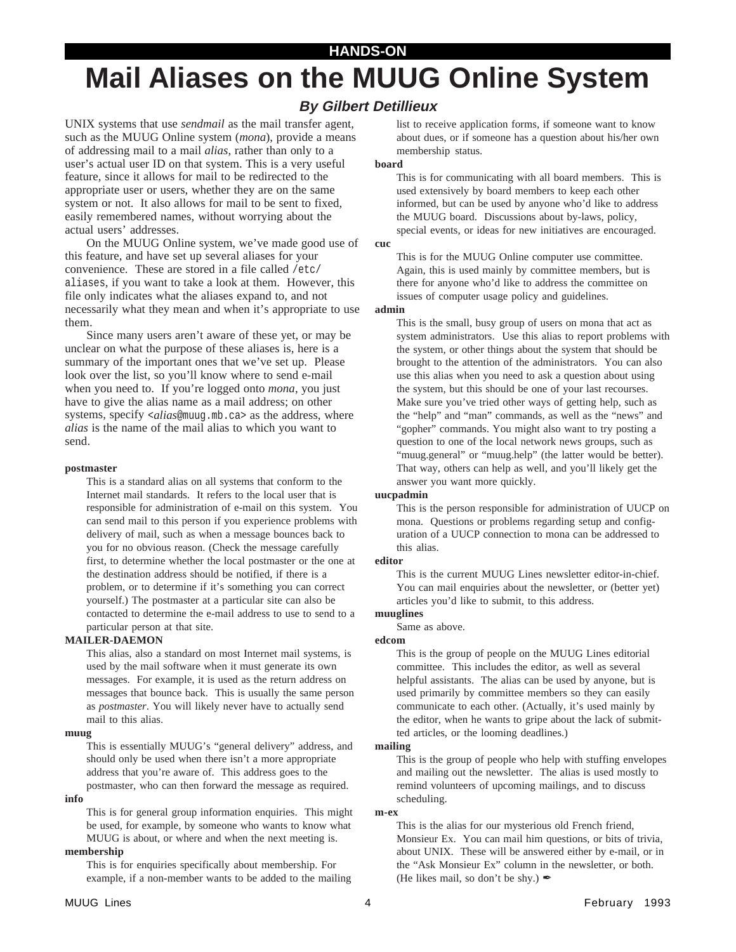### **HANDS-ON**

# **Mail Aliases on the MUUG Online System**

# **By Gilbert Detillieux**

UNIX systems that use *sendmail* as the mail transfer agent, such as the MUUG Online system (*mona*), provide a means of addressing mail to a mail *alias*, rather than only to a user's actual user ID on that system. This is a very useful feature, since it allows for mail to be redirected to the appropriate user or users, whether they are on the same system or not. It also allows for mail to be sent to fixed, easily remembered names, without worrying about the actual users' addresses.

On the MUUG Online system, we've made good use of this feature, and have set up several aliases for your convenience. These are stored in a file called /etc/ aliases, if you want to take a look at them. However, this file only indicates what the aliases expand to, and not necessarily what they mean and when it's appropriate to use them.

Since many users aren't aware of these yet, or may be unclear on what the purpose of these aliases is, here is a summary of the important ones that we've set up. Please look over the list, so you'll know where to send e-mail when you need to. If you're logged onto *mona*, you just have to give the alias name as a mail address; on other systems, specify <*alias*@muug.mb.ca> as the address, where *alias* is the name of the mail alias to which you want to send.

#### **postmaster**

This is a standard alias on all systems that conform to the Internet mail standards. It refers to the local user that is responsible for administration of e-mail on this system. You can send mail to this person if you experience problems with delivery of mail, such as when a message bounces back to you for no obvious reason. (Check the message carefully first, to determine whether the local postmaster or the one at the destination address should be notified, if there is a problem, or to determine if it's something you can correct yourself.) The postmaster at a particular site can also be contacted to determine the e-mail address to use to send to a particular person at that site.

### **MAILER-DAEMON**

This alias, also a standard on most Internet mail systems, is used by the mail software when it must generate its own messages. For example, it is used as the return address on messages that bounce back. This is usually the same person as *postmaster*. You will likely never have to actually send mail to this alias.

#### **muug**

**info**

This is essentially MUUG's "general delivery" address, and should only be used when there isn't a more appropriate address that you're aware of. This address goes to the postmaster, who can then forward the message as required.

This is for general group information enquiries. This might be used, for example, by someone who wants to know what MUUG is about, or where and when the next meeting is.

### **membership**

This is for enquiries specifically about membership. For example, if a non-member wants to be added to the mailing

#### **board**

This is for communicating with all board members. This is used extensively by board members to keep each other informed, but can be used by anyone who'd like to address the MUUG board. Discussions about by-laws, policy, special events, or ideas for new initiatives are encouraged.

#### **cuc**

This is for the MUUG Online computer use committee. Again, this is used mainly by committee members, but is there for anyone who'd like to address the committee on issues of computer usage policy and guidelines.

### **admin**

This is the small, busy group of users on mona that act as system administrators. Use this alias to report problems with the system, or other things about the system that should be brought to the attention of the administrators. You can also use this alias when you need to ask a question about using the system, but this should be one of your last recourses. Make sure you've tried other ways of getting help, such as the "help" and "man" commands, as well as the "news" and "gopher" commands. You might also want to try posting a question to one of the local network news groups, such as "muug.general" or "muug.help" (the latter would be better). That way, others can help as well, and you'll likely get the answer you want more quickly.

### **uucpadmin**

This is the person responsible for administration of UUCP on mona. Questions or problems regarding setup and configuration of a UUCP connection to mona can be addressed to this alias.

### **editor**

This is the current MUUG Lines newsletter editor-in-chief. You can mail enquiries about the newsletter, or (better yet) articles you'd like to submit, to this address.

### **muuglines**

Same as above.

### **edcom**

This is the group of people on the MUUG Lines editorial committee. This includes the editor, as well as several helpful assistants. The alias can be used by anyone, but is used primarily by committee members so they can easily communicate to each other. (Actually, it's used mainly by the editor, when he wants to gripe about the lack of submitted articles, or the looming deadlines.)

### **mailing**

This is the group of people who help with stuffing envelopes and mailing out the newsletter. The alias is used mostly to remind volunteers of upcoming mailings, and to discuss scheduling.

### **m-ex**

This is the alias for our mysterious old French friend, Monsieur Ex. You can mail him questions, or bits of trivia, about UNIX. These will be answered either by e-mail, or in the "Ask Monsieur Ex" column in the newsletter, or both. (He likes mail, so don't be shy.)  $\triangle$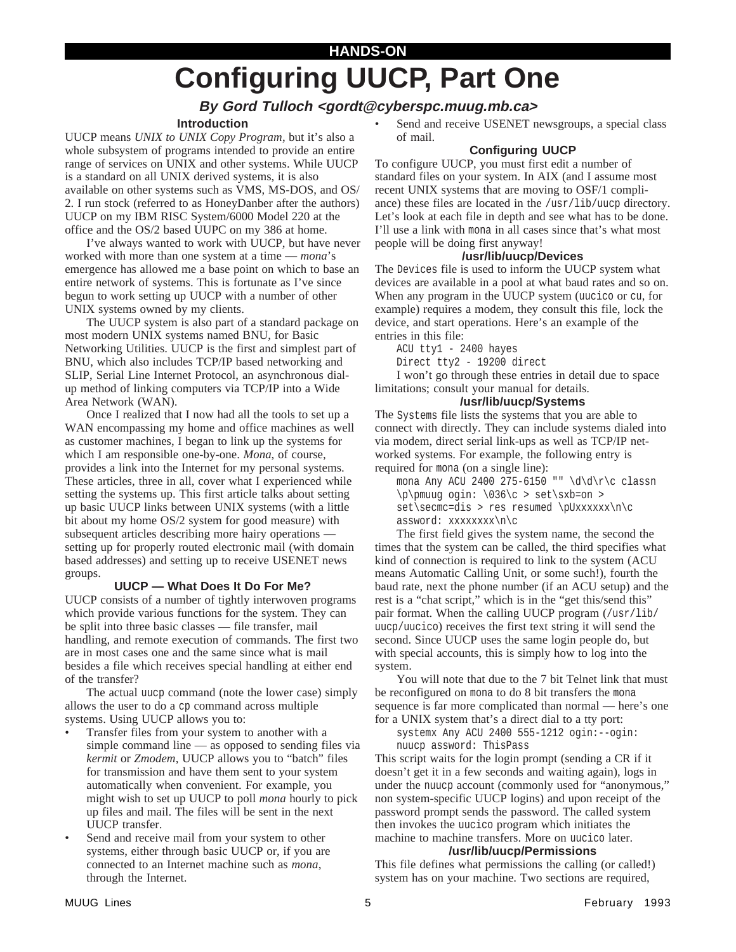# **HANDS-ON Configuring UUCP, Part One**

# **By Gord Tulloch <gordt@cyberspc.muug.mb.ca>**

### **Introduction**

UUCP means *UNIX to UNIX Copy Program*, but it's also a whole subsystem of programs intended to provide an entire range of services on UNIX and other systems. While UUCP is a standard on all UNIX derived systems, it is also available on other systems such as VMS, MS-DOS, and OS/ 2. I run stock (referred to as HoneyDanber after the authors) UUCP on my IBM RISC System/6000 Model 220 at the office and the OS/2 based UUPC on my 386 at home.

I've always wanted to work with UUCP, but have never worked with more than one system at a time — *mona*'s emergence has allowed me a base point on which to base an entire network of systems. This is fortunate as I've since begun to work setting up UUCP with a number of other UNIX systems owned by my clients.

The UUCP system is also part of a standard package on most modern UNIX systems named BNU, for Basic Networking Utilities. UUCP is the first and simplest part of BNU, which also includes TCP/IP based networking and SLIP, Serial Line Internet Protocol, an asynchronous dialup method of linking computers via TCP/IP into a Wide Area Network (WAN).

Once I realized that I now had all the tools to set up a WAN encompassing my home and office machines as well as customer machines, I began to link up the systems for which I am responsible one-by-one. *Mona*, of course, provides a link into the Internet for my personal systems. These articles, three in all, cover what I experienced while setting the systems up. This first article talks about setting up basic UUCP links between UNIX systems (with a little bit about my home OS/2 system for good measure) with subsequent articles describing more hairy operations setting up for properly routed electronic mail (with domain based addresses) and setting up to receive USENET news groups.

### **UUCP — What Does It Do For Me?**

UUCP consists of a number of tightly interwoven programs which provide various functions for the system. They can be split into three basic classes — file transfer, mail handling, and remote execution of commands. The first two are in most cases one and the same since what is mail besides a file which receives special handling at either end of the transfer?

The actual uucp command (note the lower case) simply allows the user to do a cp command across multiple systems. Using UUCP allows you to:

- Transfer files from your system to another with a simple command line — as opposed to sending files via *kermit* or *Zmodem*, UUCP allows you to "batch" files for transmission and have them sent to your system automatically when convenient. For example, you might wish to set up UUCP to poll *mona* hourly to pick up files and mail. The files will be sent in the next UUCP transfer.
- Send and receive mail from your system to other systems, either through basic UUCP or, if you are connected to an Internet machine such as *mona*, through the Internet.

Send and receive USENET newsgroups, a special class of mail.

### **Configuring UUCP**

To configure UUCP, you must first edit a number of standard files on your system. In AIX (and I assume most recent UNIX systems that are moving to OSF/1 compliance) these files are located in the /usr/lib/uucp directory. Let's look at each file in depth and see what has to be done. I'll use a link with mona in all cases since that's what most people will be doing first anyway!

### **/usr/lib/uucp/Devices**

The Devices file is used to inform the UUCP system what devices are available in a pool at what baud rates and so on. When any program in the UUCP system (uucico or cu, for example) requires a modem, they consult this file, lock the device, and start operations. Here's an example of the entries in this file:

ACU tty1 - 2400 hayes

Direct tty2 - 19200 direct

I won't go through these entries in detail due to space limitations; consult your manual for details.

### **/usr/lib/uucp/Systems**

The Systems file lists the systems that you are able to connect with directly. They can include systems dialed into via modem, direct serial link-ups as well as TCP/IP networked systems. For example, the following entry is required for mona (on a single line):

mona Any ACU 2400 275-6150 "" \d\d\r\c classn \p\pmuug ogin: \036\c > set\sxb=on >  $set\secmc=dis$  > res resumed \pUxxxxxx\n\c assword: xxxxxxxx\n\c

The first field gives the system name, the second the times that the system can be called, the third specifies what kind of connection is required to link to the system (ACU means Automatic Calling Unit, or some such!), fourth the baud rate, next the phone number (if an ACU setup) and the rest is a "chat script," which is in the "get this/send this" pair format. When the calling UUCP program (/usr/lib/ uucp/uucico) receives the first text string it will send the second. Since UUCP uses the same login people do, but with special accounts, this is simply how to log into the system.

You will note that due to the 7 bit Telnet link that must be reconfigured on mona to do 8 bit transfers the mona sequence is far more complicated than normal — here's one for a UNIX system that's a direct dial to a tty port:

systemx Any ACU 2400 555-1212 ogin:--ogin: nuucp assword: ThisPass

This script waits for the login prompt (sending a CR if it doesn't get it in a few seconds and waiting again), logs in under the nuucp account (commonly used for "anonymous," non system-specific UUCP logins) and upon receipt of the password prompt sends the password. The called system then invokes the uucico program which initiates the machine to machine transfers. More on uucico later.

### **/usr/lib/uucp/Permissions**

This file defines what permissions the calling (or called!) system has on your machine. Two sections are required,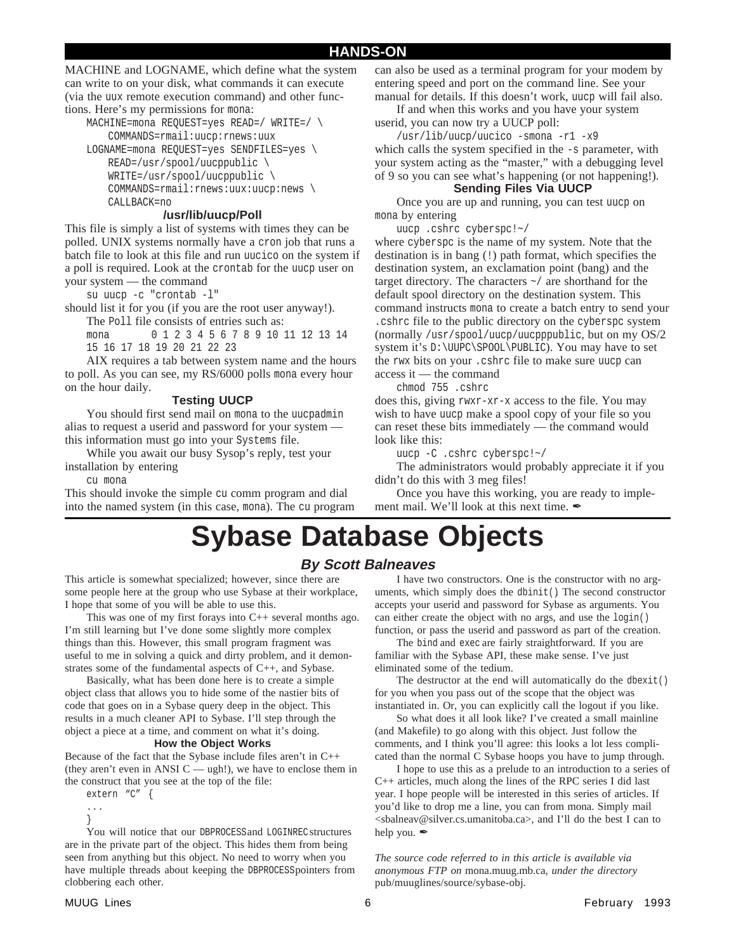MACHINE and LOGNAME, which define what the system can write to on your disk, what commands it can execute (via the uux remote execution command) and other functions. Here's my permissions for mona:

MACHINE=mona REQUEST=yes READ=/ WRITE=/ \ COMMANDS=rmail:uucp:rnews:uux LOGNAME=mona REQUEST=yes SENDFILES=yes \ READ=/usr/spool/uucppublic \ WRITE=/usr/spool/uucppublic \ COMMANDS=rmail:rnews:uux:uucp:news \ CALLBACK=no

### **/usr/lib/uucp/Poll**

This file is simply a list of systems with times they can be polled. UNIX systems normally have a cron job that runs a batch file to look at this file and run uucico on the system if a poll is required. Look at the crontab for the uucp user on your system — the command

su uucp -c "crontab -l"

should list it for you (if you are the root user anyway!).

The Poll file consists of entries such as:

mona 0 1 2 3 4 5 6 7 8 9 10 11 12 13 14 15 16 17 18 19 20 21 22 23

AIX requires a tab between system name and the hours to poll. As you can see, my RS/6000 polls mona every hour on the hour daily.

### **Testing UUCP**

You should first send mail on mona to the uucpadmin alias to request a userid and password for your system this information must go into your Systems file.

While you await our busy Sysop's reply, test your installation by entering

cu mona

This should invoke the simple cu comm program and dial into the named system (in this case, mona). The cu program can also be used as a terminal program for your modem by entering speed and port on the command line. See your manual for details. If this doesn't work, uucp will fail also.

If and when this works and you have your system userid, you can now try a UUCP poll:

/usr/lib/uucp/uucico -smona -r1 -x9

which calls the system specified in the -s parameter, with your system acting as the "master," with a debugging level of 9 so you can see what's happening (or not happening!).

### **Sending Files Via UUCP**

Once you are up and running, you can test uucp on mona by entering

uucp .cshrc cyberspc!~/

where cyberspc is the name of my system. Note that the destination is in bang (!) path format, which specifies the destination system, an exclamation point (bang) and the target directory. The characters ~/ are shorthand for the default spool directory on the destination system. This command instructs mona to create a batch entry to send your .cshrc file to the public directory on the cyberspc system (normally /usr/spool/uucp/uucpppublic, but on my OS/2 system it's D:\UUPC\SPOOL\PUBLIC). You may have to set the rwx bits on your .cshrc file to make sure uucp can access it — the command

chmod 755 .cshrc

does this, giving rwxr-xr-x access to the file. You may wish to have uucp make a spool copy of your file so you can reset these bits immediately — the command would look like this:

uucp -C .cshrc cyberspc!~/

The administrators would probably appreciate it if you didn't do this with 3 meg files!

Once you have this working, you are ready to implement mail. We'll look at this next time.  $\blacktriangle$ 

# **Sybase Database Objects**

# **By Scott Balneaves**

This article is somewhat specialized; however, since there are some people here at the group who use Sybase at their workplace, I hope that some of you will be able to use this.

This was one of my first forays into  $C_{++}$  several months ago. I'm still learning but I've done some slightly more complex things than this. However, this small program fragment was useful to me in solving a quick and dirty problem, and it demonstrates some of the fundamental aspects of C++, and Sybase.

Basically, what has been done here is to create a simple object class that allows you to hide some of the nastier bits of code that goes on in a Sybase query deep in the object. This results in a much cleaner API to Sybase. I'll step through the object a piece at a time, and comment on what it's doing.

### **How the Object Works**

Because of the fact that the Sybase include files aren't in C++ (they aren't even in ANSI  $C - ugh!$ ), we have to enclose them in the construct that you see at the top of the file:

extern "C" { ...

} You will notice that our DBPROCESS and LOGINREC structures are in the private part of the object. This hides them from being seen from anything but this object. No need to worry when you have multiple threads about keeping the DBPROCESS pointers from clobbering each other.

I have two constructors. One is the constructor with no arguments, which simply does the dbinit(). The second constructor accepts your userid and password for Sybase as arguments. You can either create the object with no args, and use the login() function, or pass the userid and password as part of the creation.

The bind and exec are fairly straightforward. If you are familiar with the Sybase API, these make sense. I've just eliminated some of the tedium.

The destructor at the end will automatically do the dbexit() for you when you pass out of the scope that the object was instantiated in. Or, you can explicitly call the logout if you like.

So what does it all look like? I've created a small mainline (and Makefile) to go along with this object. Just follow the comments, and I think you'll agree: this looks a lot less complicated than the normal C Sybase hoops you have to jump through.

I hope to use this as a prelude to an introduction to a series of C++ articles, much along the lines of the RPC series I did last year. I hope people will be interested in this series of articles. If you'd like to drop me a line, you can from mona. Simply mail <sbalneav@silver.cs.umanitoba.ca>, and I'll do the best I can to help you.  $\mathscr{I}$ 

*The source code referred to in this article is available via anonymous FTP on* mona.muug.mb.ca*, under the directory* pub/muuglines/source/sybase-obj*.*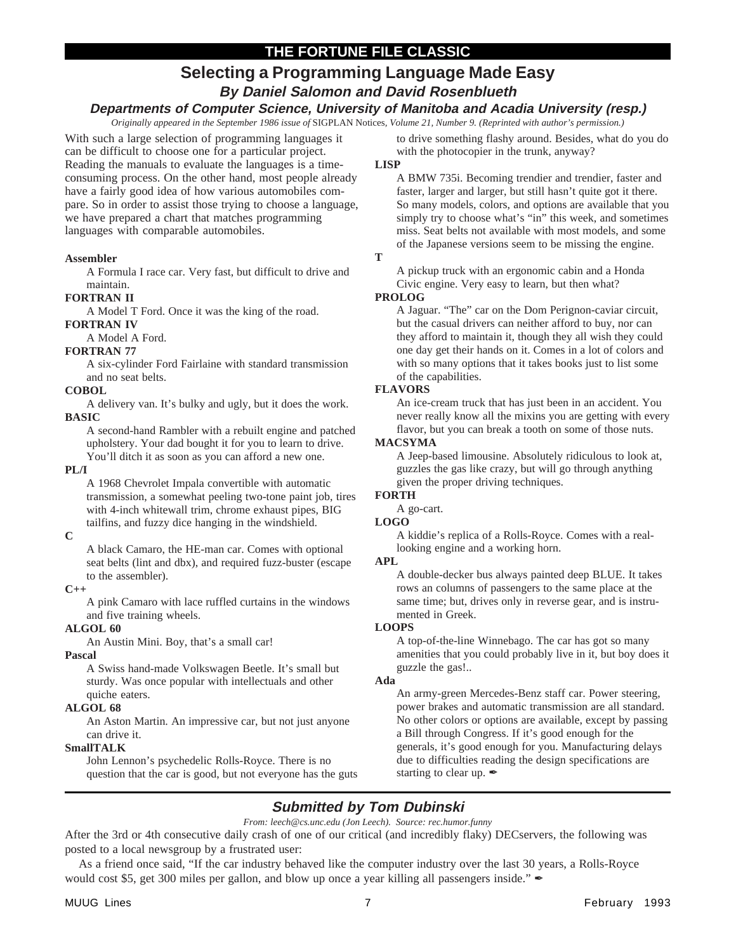# **THE FORTUNE FILE CLASSIC**

# **Selecting a Programming Language Made Easy**

## **By Daniel Salomon and David Rosenblueth**

### **Departments of Computer Science, University of Manitoba and Acadia University (resp.)**

*Originally appeared in the September 1986 issue of* SIGPLAN Notices*, Volume 21, Number 9. (Reprinted with author's permission.)*

With such a large selection of programming languages it can be difficult to choose one for a particular project. Reading the manuals to evaluate the languages is a timeconsuming process. On the other hand, most people already have a fairly good idea of how various automobiles compare. So in order to assist those trying to choose a language, we have prepared a chart that matches programming languages with comparable automobiles.

### **Assembler**

A Formula I race car. Very fast, but difficult to drive and maintain.

### **FORTRAN II**

A Model T Ford. Once it was the king of the road.

### **FORTRAN IV**

A Model A Ford.

### **FORTRAN 77**

A six-cylinder Ford Fairlaine with standard transmission and no seat belts.

### **COBOL**

A delivery van. It's bulky and ugly, but it does the work. **BASIC**

A second-hand Rambler with a rebuilt engine and patched upholstery. Your dad bought it for you to learn to drive. You'll ditch it as soon as you can afford a new one.

### **PL/I**

A 1968 Chevrolet Impala convertible with automatic transmission, a somewhat peeling two-tone paint job, tires with 4-inch whitewall trim, chrome exhaust pipes, BIG tailfins, and fuzzy dice hanging in the windshield.

### **C**

A black Camaro, the HE-man car. Comes with optional seat belts (lint and dbx), and required fuzz-buster (escape to the assembler).

### **C++**

A pink Camaro with lace ruffled curtains in the windows and five training wheels.

### **ALGOL 60**

An Austin Mini. Boy, that's a small car!

### **Pascal**

A Swiss hand-made Volkswagen Beetle. It's small but sturdy. Was once popular with intellectuals and other quiche eaters.

### **ALGOL 68**

An Aston Martin. An impressive car, but not just anyone can drive it.

### **SmallTALK**

John Lennon's psychedelic Rolls-Royce. There is no question that the car is good, but not everyone has the guts to drive something flashy around. Besides, what do you do with the photocopier in the trunk, anyway?

### **LISP**

A BMW 735i. Becoming trendier and trendier, faster and faster, larger and larger, but still hasn't quite got it there. So many models, colors, and options are available that you simply try to choose what's "in" this week, and sometimes miss. Seat belts not available with most models, and some of the Japanese versions seem to be missing the engine.

### **T**

A pickup truck with an ergonomic cabin and a Honda Civic engine. Very easy to learn, but then what?

### **PROLOG**

A Jaguar. "The" car on the Dom Perignon-caviar circuit, but the casual drivers can neither afford to buy, nor can they afford to maintain it, though they all wish they could one day get their hands on it. Comes in a lot of colors and with so many options that it takes books just to list some of the capabilities.

### **FLAVORS**

An ice-cream truck that has just been in an accident. You never really know all the mixins you are getting with every flavor, but you can break a tooth on some of those nuts.

### **MACSYMA**

A Jeep-based limousine. Absolutely ridiculous to look at, guzzles the gas like crazy, but will go through anything given the proper driving techniques.

## **FORTH**

A go-cart.

### **LOGO**

A kiddie's replica of a Rolls-Royce. Comes with a reallooking engine and a working horn.

### **APL**

A double-decker bus always painted deep BLUE. It takes rows an columns of passengers to the same place at the same time; but, drives only in reverse gear, and is instrumented in Greek.

### **LOOPS**

A top-of-the-line Winnebago. The car has got so many amenities that you could probably live in it, but boy does it guzzle the gas!..

### **Ada**

An army-green Mercedes-Benz staff car. Power steering, power brakes and automatic transmission are all standard. No other colors or options are available, except by passing a Bill through Congress. If it's good enough for the generals, it's good enough for you. Manufacturing delays due to difficulties reading the design specifications are starting to clear up.  $\mathscr I$ 

# **Submitted by Tom Dubinski**

### *From: leech@cs.unc.edu (Jon Leech). Source: rec.humor.funny*

After the 3rd or 4th consecutive daily crash of one of our critical (and incredibly flaky) DECservers, the following was posted to a local newsgroup by a frustrated user:

 As a friend once said, "If the car industry behaved like the computer industry over the last 30 years, a Rolls-Royce would cost \$5, get 300 miles per gallon, and blow up once a year killing all passengers inside."